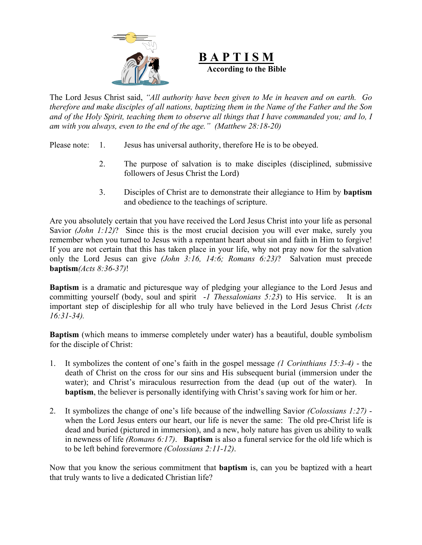

**B A P T I S M According to the Bible**

The Lord Jesus Christ said, *"All authority have been given to Me in heaven and on earth. Go therefore and make disciples of all nations, baptizing them in the Name of the Father and the Son and of the Holy Spirit, teaching them to observe all things that I have commanded you; and lo, I am with you always, even to the end of the age." (Matthew 28:18-20)*

Please note: 1. Jesus has universal authority, therefore He is to be obeyed.

- 2. The purpose of salvation is to make disciples (disciplined, submissive followers of Jesus Christ the Lord)
- 3. Disciples of Christ are to demonstrate their allegiance to Him by **baptism** and obedience to the teachings of scripture.

Are you absolutely certain that you have received the Lord Jesus Christ into your life as personal Savior *(John 1:12)*? Since this is the most crucial decision you will ever make, surely you remember when you turned to Jesus with a repentant heart about sin and faith in Him to forgive! If you are not certain that this has taken place in your life, why not pray now for the salvation only the Lord Jesus can give *(John 3:16, 14:6; Romans 6:23)*? Salvation must precede **baptism***(Acts 8:36-37)*!

**Baptism** is a dramatic and picturesque way of pledging your allegiance to the Lord Jesus and committing yourself (body, soul and spirit -*1 Thessalonians 5:23*) to His service. It is an important step of discipleship for all who truly have believed in the Lord Jesus Christ *(Acts 16:31-34).*

**Baptism** (which means to immerse completely under water) has a beautiful, double symbolism for the disciple of Christ:

- 1. It symbolizes the content of one's faith in the gospel message *(1 Corinthians 15:3-4)* the death of Christ on the cross for our sins and His subsequent burial (immersion under the water); and Christ's miraculous resurrection from the dead (up out of the water). In **baptism**, the believer is personally identifying with Christ's saving work for him or her.
- 2. It symbolizes the change of one's life because of the indwelling Savior *(Colossians 1:27)* when the Lord Jesus enters our heart, our life is never the same: The old pre-Christ life is dead and buried (pictured in immersion), and a new, holy nature has given us ability to walk in newness of life *(Romans 6:17)*. **Baptism** is also a funeral service for the old life which is to be left behind forevermore *(Colossians 2:11-12)*.

Now that you know the serious commitment that **baptism** is, can you be baptized with a heart that truly wants to live a dedicated Christian life?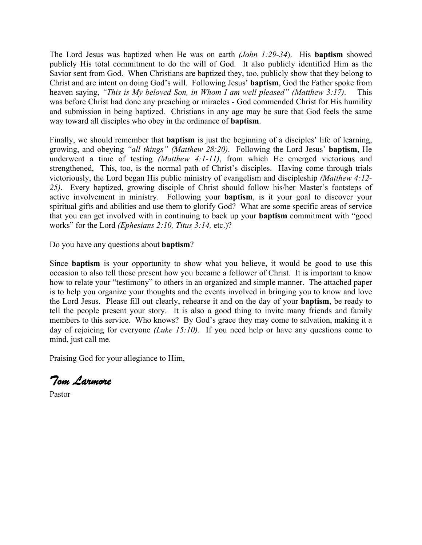The Lord Jesus was baptized when He was on earth *(John 1:29-34*). His **baptism** showed publicly His total commitment to do the will of God. It also publicly identified Him as the Savior sent from God. When Christians are baptized they, too, publicly show that they belong to Christ and are intent on doing God's will. Following Jesus' **baptism**, God the Father spoke from heaven saying, *"This is My beloved Son, in Whom I am well pleased" (Matthew 3:17)*. This was before Christ had done any preaching or miracles - God commended Christ for His humility and submission in being baptized. Christians in any age may be sure that God feels the same way toward all disciples who obey in the ordinance of **baptism**.

Finally, we should remember that **baptism** is just the beginning of a disciples' life of learning, growing, and obeying *"all things" (Matthew 28:20)*. Following the Lord Jesus' **baptism**, He underwent a time of testing *(Matthew 4:1-11)*, from which He emerged victorious and strengthened, This, too, is the normal path of Christ's disciples. Having come through trials victoriously, the Lord began His public ministry of evangelism and discipleship *(Matthew 4:12- 25)*. Every baptized, growing disciple of Christ should follow his/her Master's footsteps of active involvement in ministry. Following your **baptism**, is it your goal to discover your spiritual gifts and abilities and use them to glorify God? What are some specific areas of service that you can get involved with in continuing to back up your **baptism** commitment with "good works" for the Lord *(Ephesians 2:10, Titus 3:14,* etc.)?

Do you have any questions about **baptism**?

Since **baptism** is your opportunity to show what you believe, it would be good to use this occasion to also tell those present how you became a follower of Christ. It is important to know how to relate your "testimony" to others in an organized and simple manner. The attached paper is to help you organize your thoughts and the events involved in bringing you to know and love the Lord Jesus. Please fill out clearly, rehearse it and on the day of your **baptism**, be ready to tell the people present your story. It is also a good thing to invite many friends and family members to this service. Who knows? By God's grace they may come to salvation, making it a day of rejoicing for everyone *(Luke 15:10)*. If you need help or have any questions come to mind, just call me.

Praising God for your allegiance to Him,

Tom Larmore

Pastor